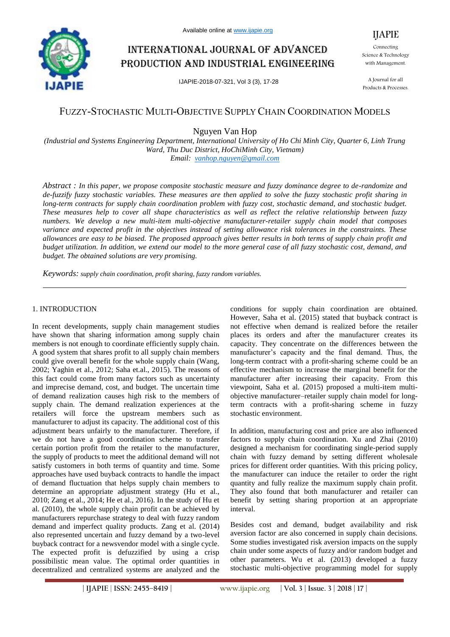

# International journal of advanced production and industrial engineering

IJAPIE-2018-07-321, Vol 3 (3), 17-28

Connecting Science & Technology with Management.

IJAPIE

A Journal for all Products & Processes.

# FUZZY-STOCHASTIC MULTI-OBJECTIVE SUPPLY CHAIN COORDINATION MODELS

Nguyen Van Hop

*(Industrial and Systems Engineering Department, International University of Ho Chi Minh City, Quarter 6, Linh Trung Ward, Thu Duc District, HoChiMinh City, Vietnam) Email: vanhop.nguyen@gmail.com*

*Abstract : In this paper, we propose composite stochastic measure and fuzzy dominance degree to de-randomize and de-fuzzify fuzzy stochastic variables. These measures are then applied to solve the fuzzy stochastic profit sharing in long-term contracts for supply chain coordination problem with fuzzy cost, stochastic demand, and stochastic budget. These measures help to cover all shape characteristics as well as reflect the relative relationship between fuzzy numbers. We develop a new multi-item multi-objective manufacturer-retailer supply chain model that composes variance and expected profit in the objectives instead of setting allowance risk tolerances in the constraints. These allowances are easy to be biased. The proposed approach gives better results in both terms of supply chain profit and budget utilization. In addition, we extend our model to the more general case of all fuzzy stochastic cost, demand, and budget. The obtained solutions are very promising.*

*Keywords: supply chain coordination, profit sharing, fuzzy random variables.*

### 1. INTRODUCTION

In recent developments, supply chain management studies have shown that sharing information among supply chain members is not enough to coordinate efficiently supply chain. A good system that shares profit to all supply chain members could give overall benefit for the whole supply chain (Wang, 2002; Yaghin et al., 2012; Saha et.al., 2015). The reasons of this fact could come from many factors such as uncertainty and imprecise demand, cost, and budget. The uncertain time of demand realization causes high risk to the members of supply chain. The demand realization experiences at the retailers will force the upstream members such as manufacturer to adjust its capacity. The additional cost of this adjustment bears unfairly to the manufacturer. Therefore, if we do not have a good coordination scheme to transfer certain portion profit from the retailer to the manufacturer, the supply of products to meet the additional demand will not satisfy customers in both terms of quantity and time. Some approaches have used buyback contracts to handle the impact of demand fluctuation that helps supply chain members to determine an appropriate adjustment strategy (Hu et al., 2010; Zang et al., 2014; He et al., 2016). In the study of Hu et al. (2010), the whole supply chain profit can be achieved by manufacturers repurchase strategy to deal with fuzzy random demand and imperfect quality products. Zang et al. (2014) also represented uncertain and fuzzy demand by a two-level buyback contract for a newsvendor model with a single cycle. The expected profit is defuzzified by using a crisp possibilistic mean value. The optimal order quantities in decentralized and centralized systems are analyzed and the

conditions for supply chain coordination are obtained. However, Saha et al. (2015) stated that buyback contract is not effective when demand is realized before the retailer places its orders and after the manufacturer creates its capacity. They concentrate on the differences between the manufacturer's capacity and the final demand. Thus, the long-term contract with a profit-sharing scheme could be an effective mechanism to increase the marginal benefit for the manufacturer after increasing their capacity. From this viewpoint, Saha et al. (2015) proposed a multi-item multiobjective manufacturer–retailer supply chain model for longterm contracts with a profit-sharing scheme in fuzzy stochastic environment.

In addition, manufacturing cost and price are also influenced factors to supply chain coordination. Xu and Zhai (2010) designed a mechanism for coordinating single-period supply chain with fuzzy demand by setting different wholesale prices for different order quantities. With this pricing policy, the manufacturer can induce the retailer to order the right quantity and fully realize the maximum supply chain profit. They also found that both manufacturer and retailer can benefit by setting sharing proportion at an appropriate interval.

Besides cost and demand, budget availability and risk aversion factor are also concerned in supply chain decisions. Some studies investigated risk aversion impacts on the supply chain under some aspects of fuzzy and/or random budget and other parameters. Wu et al. (2013) developed a fuzzy stochastic multi-objective programming model for supply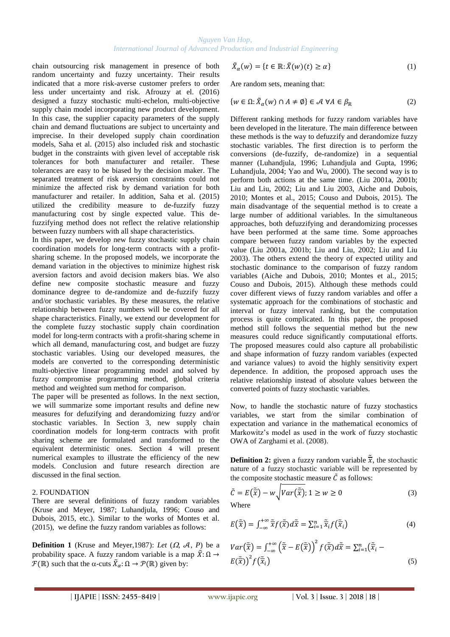chain outsourcing risk management in presence of both random uncertainty and fuzzy uncertainty. Their results indicated that a more risk-averse customer prefers to order less under uncertainty and risk. Afrouzy at el. (2016) designed a fuzzy stochastic multi-echelon, multi-objective supply chain model incorporating new product development. In this case, the supplier capacity parameters of the supply chain and demand fluctuations are subject to uncertainty and imprecise. In their developed supply chain coordination models, Saha et al. (2015) also included risk and stochastic budget in the constraints with given level of acceptable risk tolerances for both manufacturer and retailer. These tolerances are easy to be biased by the decision maker. The separated treatment of risk aversion constraints could not minimize the affected risk by demand variation for both manufacturer and retailer. In addition, Saha et al. (2015) utilized the credibility measure to de-fuzzify fuzzy manufacturing cost by single expected value. This defuzzifying method does not reflect the relative relationship between fuzzy numbers with all shape characteristics.

In this paper, we develop new fuzzy stochastic supply chain coordination models for long-term contracts with a profitsharing scheme. In the proposed models, we incorporate the demand variation in the objectives to minimize highest risk aversion factors and avoid decision makers bias. We also define new composite stochastic measure and fuzzy dominance degree to de-randomize and de-fuzzify fuzzy and/or stochastic variables. By these measures, the relative relationship between fuzzy numbers will be covered for all shape characteristics. Finally, we extend our development for the complete fuzzy stochastic supply chain coordination model for long-term contracts with a profit-sharing scheme in which all demand, manufacturing cost, and budget are fuzzy stochastic variables. Using our developed measures, the models are converted to the corresponding deterministic multi-objective linear programming model and solved by fuzzy compromise programming method, global criteria method and weighted sum method for comparison.

The paper will be presented as follows. In the next section, we will summarize some important results and define new measures for defuzifying and derandomizing fuzzy and/or stochastic variables. In Section 3, new supply chain coordination models for long-term contracts with profit sharing scheme are formulated and transformed to the equivalent deterministic ones. Section 4 will present numerical examples to illustrate the efficiency of the new models. Conclusion and future research direction are discussed in the final section.

#### 2. FOUNDATION

There are several definitions of fuzzy random variables (Kruse and Meyer, 1987; Luhandjula, 1996; Couso and Dubois, 2015, etc.). Similar to the works of Montes et al. (2015), we define the fuzzy random variables as follows:

**Definition 1** (Kruse and Meyer, 1987): Let  $(\Omega, \mathcal{A}, P)$  be a probability space. A fuzzy random variable is a map  $\tilde{X}$ :  $\Omega \rightarrow$  $\mathcal{F}(\mathbb{R})$  such that the  $\alpha$ -cuts  $\tilde{X}_{\alpha} : \Omega \to \mathcal{P}(\mathbb{R})$  given by:

$$
\tilde{X}_{\alpha}(w) = \{t \in \mathbb{R} : \tilde{X}(w)(t) \ge \alpha\}
$$
\n(1)

Are random sets, meaning that:

$$
\{w \in \Omega : \tilde{X}_{\alpha}(w) \cap A \neq \emptyset\} \in \mathcal{A} \,\forall A \in \beta_{\mathbb{R}} \tag{2}
$$

Different ranking methods for fuzzy random variables have been developed in the literature. The main difference between these methods is the way to defuzzify and derandomize fuzzy stochastic variables. The first direction is to perform the conversions (de-fuzzify, de-randomize) in a sequential manner (Luhandjula, 1996; Luhandjula and Gupta, 1996; Luhandjula, 2004; Yao and Wu, 2000). The second way is to perform both actions at the same time. (Liu 2001a, 2001b; Liu and Liu, 2002; Liu and Liu 2003, Aiche and Dubois, 2010; Montes et al., 2015; Couso and Dubois, 2015). The main disadvantage of the sequential method is to create a large number of additional variables. In the simultaneous approaches, both defuzzifying and derandomizing processes have been performed at the same time. Some approaches compare between fuzzy random variables by the expected value (Liu 2001a, 2001b; Liu and Liu, 2002; Liu and Liu 2003). The others extend the theory of expected utility and stochastic dominance to the comparison of fuzzy random variables (Aiche and Dubois, 2010; Montes et al., 2015; Couso and Dubois, 2015). Although these methods could cover different views of fuzzy random variables and offer a systematic approach for the combinations of stochastic and interval or fuzzy interval ranking, but the computation process is quite complicated. In this paper, the proposed method still follows the sequential method but the new measures could reduce significantly computational efforts. The proposed measures could also capture all probabilistic and shape information of fuzzy random variables (expected and variance values) to avoid the highly sensitivity expert dependence. In addition, the proposed approach uses the relative relationship instead of absolute values between the converted points of fuzzy stochastic variables.

Now, to handle the stochastic nature of fuzzy stochastics variables, we start from the similar combination of expectation and variance in the mathematical economics of Markowitz's model as used in the work of fuzzy stochastic OWA of Zarghami et al. (2008).

**Definition 2:** given a fuzzy random variable  $\tilde{\overline{x}}$ , the stochastic nature of a fuzzy stochastic variable will be represented by the composite stochastic measure  $\tilde{C}$  as follows:

$$
\tilde{C} = E(\tilde{\overline{x}}) - w \sqrt{Var(\tilde{\overline{x}})}; 1 \ge w \ge 0
$$
\n(3)

Where

$$
E(\tilde{\overline{x}}) = \int_{-\infty}^{+\infty} \tilde{\overline{x}} f(\tilde{\overline{x}}) d\tilde{\overline{x}} = \sum_{i=1}^{n} \tilde{\overline{x}}_i f(\tilde{\overline{x}}_i)
$$
(4)

$$
Var\left(\tilde{\overline{x}}\right) = \int_{-\infty}^{+\infty} \left(\tilde{\overline{x}} - E\left(\tilde{\overline{x}}\right)\right)^2 f\left(\tilde{\overline{x}}\right) d\tilde{\overline{x}} = \sum_{i=1}^n \left(\tilde{\overline{x}}_i - E\left(\tilde{\overline{x}}\right)\right)^2 f\left(\tilde{\overline{x}}_i\right)
$$
\n
$$
(5)
$$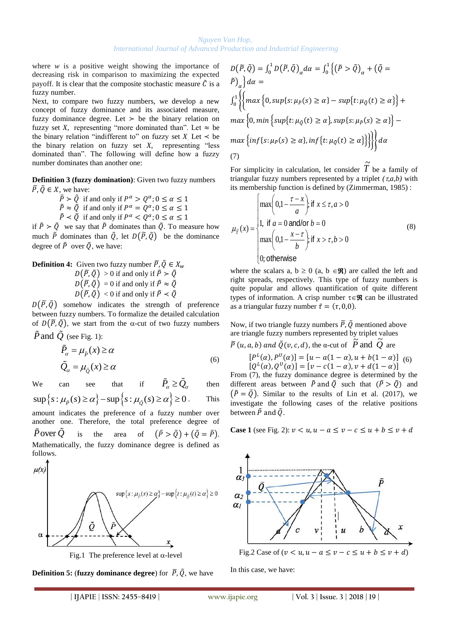where  $w$  is a positive weight showing the importance of decreasing risk in comparison to maximizing the expected payoff. It is clear that the composite stochastic measure  $\tilde{C}$  is a fuzzy number.

Next, to compare two fuzzy numbers, we develop a new concept of fuzzy dominance and its associated measure, fuzzy dominance degree. Let  $\geq$  be the binary relation on fuzzy set *X*, representing "more dominated than". Let  $\approx$  be the binary relation "indifferent to" on fuzzy set  $X$  Let  $\prec$  be the binary relation on fuzzy set *X*, representing "less dominated than". The following will define how a fuzzy number dominates than another one:

**Definition 3 (fuzzy domination)**: Given two fuzzy numbers  $\tilde{P}$ ,  $\tilde{Q} \in X$ , we have:

 $\tilde{P} > \tilde{Q}$  if and only if  $P^{\alpha} > Q^{\alpha}$ ;

 $\tilde{P} \approx \tilde{Q}$  if and only if  $P^{\alpha} = Q^{\alpha}$ ;

 $\tilde{P} < \tilde{Q}$  if and only if  $P^{\alpha} < Q^{\alpha}$ ;

if  $\tilde{P} > \tilde{Q}$  we say that  $\tilde{P}$  dominates than  $\tilde{Q}$ . To measure how much  $\tilde{P}$  dominates than  $\tilde{Q}$ , let  $D(\tilde{P}, \tilde{Q})$  be the dominance degree of  $\tilde{P}$  over  $\tilde{O}$ , we have:

**Definition 4:** Given two fuzzy number 
$$
\widetilde{P}, \widetilde{Q} \in X_w
$$
  
\n $D(\widetilde{P}, \widetilde{Q}) > 0$  if and only if  $\widetilde{P} > \widetilde{Q}$   
\n $D(\widetilde{P}, \widetilde{Q}) = 0$  if and only if  $\widetilde{P} \approx \widetilde{Q}$   
\n $D(\widetilde{P}, \widetilde{Q}) < 0$  if and only if  $\widetilde{P} < \widetilde{Q}$ 

 $D(\tilde{P}, \tilde{Q})$  somehow indicates the strength of preference between fuzzy numbers. To formalize the detailed calculation of  $D(\tilde{P}, \tilde{Q})$ , we start from the  $\alpha$ -cut of two fuzzy numbers  $\overline{P}$  and  $\overline{Q}$  (see Fig. 1):

$$
\tilde{P}_{\alpha} = \mu_{\tilde{P}}(x) \ge \alpha
$$
\n
$$
\tilde{Q}_{\alpha} = \mu_{\tilde{Q}}(x) \ge \alpha
$$
\n(6)

We can see that if  $\tilde{P}_{\alpha} \geq \tilde{Q}_{\alpha}$ then We can see that if  $P_{\alpha} \ge Q_{\alpha}$ <br>  $\sup \{ s : \mu_{\tilde{P}}(s) \ge \alpha \} - \sup \{ s : \mu_{\tilde{Q}}(s) \ge \alpha \} \ge 0$ . . This amount indicates the preference of a fuzzy number over another one. Therefore, the total preference degree of  $P$  over  $Q$ is the area of  $(\tilde{P} > \tilde{Q}) + (\tilde{Q} = \tilde{P}).$ Mathematically, the fuzzy dominance degree is defined as follows.



**Definition 5: (fuzzy dominance degree)** for  $\tilde{P}$ ,  $\tilde{Q}$ , we have

$$
D(\tilde{P}, \tilde{Q}) = \int_0^1 D(\tilde{P}, \tilde{Q})_\alpha d\alpha = \int_0^1 \left\{ (\tilde{P} > \tilde{Q})_\alpha + (\tilde{Q} = \tilde{P})_\alpha \right\} d\alpha =
$$
  

$$
\int_0^1 \left\{ \left\{ \max \left\{ 0, \sup\{s : \mu_{\tilde{P}}(s) \ge \alpha\} - \sup\{t : \mu_{\tilde{Q}}(t) \ge \alpha\} \right\} + \max \left\{ 0, \min \left\{ \sup\{t : \mu_{\tilde{Q}}(t) \ge \alpha\}, \sup\{s : \mu_{\tilde{P}}(s) \ge \alpha\} \right\} - \max \left\{ \inf\{s : \mu_{\tilde{P}}(s) \ge \alpha\}, \inf\{t : \mu_{\tilde{Q}}(t) \ge \alpha\} \right\} \right\} \right\} d\alpha
$$
  
(7)

For simplicity in calculation, let consider  $\widetilde{T}$  be a family of triangular fuzzy numbers represented by a triplet  $(\tau, a, b)$  with its membership function is defined by (Zimmerman, 1985) :

$$
\mu_{\tilde{\tau}}(x) = \begin{cases}\n\max\left(0, 1 - \frac{\tau - x}{a}\right); & \text{if } x \le \tau, a > 0 \\
1, & \text{if } a = 0 \text{ and/or } b = 0 \\
\max\left(0, 1 - \frac{x - \tau}{b}\right); & \text{if } x > \tau, b > 0 \\
0; & \text{otherwise}\n\end{cases}
$$
\n(8)

where the scalars a,  $b \ge 0$  (a,  $b \in \mathcal{R}$ ) are called the left and right spreads, respectively. This type of fuzzy numbers is quite popular and allows quantification of quite different types of information. A crisp number  $\tau \in \mathcal{R}$  can be illustrated as a triangular fuzzy number  $\tilde{\tau} = (\tau, 0, 0)$ .

Now, if two triangle fuzzy numbers  $\tilde{P}$ ,  $\tilde{Q}$  mentioned above are triangle fuzzy numbers represented by triplet values<br> $\tilde{p}$  (w, z, b) and  $\tilde{\rho}$  (w, z, d) then we take  $\tilde{p}$  and  $\tilde{\rho}$ 

$$
\tilde{P}(u, a, b)
$$
 and  $\tilde{Q}(v, c, d)$ , the  $\alpha$ -cut of  $\tilde{P}$  and  $\tilde{Q}$  are

(6)  $[P^{L}(\alpha), P^{U}(\alpha)] = [u - a(1 - \alpha), u + b(1 - \alpha)]$  (6)  $[Q^{L}(\alpha), Q^{U}(\alpha)] = [\nu - c(1 - \alpha), \nu + d(1 - \alpha)]$ 

From (7), the fuzzy dominance degree is determined by the different areas between  $\tilde{P}$  and  $\tilde{Q}$  such that  $(\tilde{P} > \tilde{Q})$  and  $(\tilde{P} = \tilde{O})$ . Similar to the results of Lin et al. (2017), we investigate the following cases of the relative positions between  $\tilde{P}$  and  $\tilde{O}$ .

#### **Case 1** (see Fig. 2):  $v < u, u - a \le v - c \le u + b \le v + d$



In this case, we have: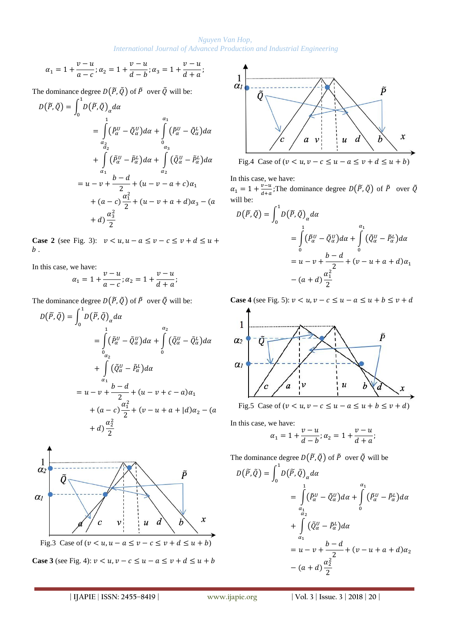$$
\alpha_1 = 1 + \frac{v - u}{a - c}; \alpha_2 = 1 + \frac{v - u}{d - b}; \alpha_3 = 1 + \frac{v - u}{d + a};
$$

The dominance degree  $D(\tilde{P}, \tilde{Q})$  of  $\tilde{P}$  over  $\tilde{Q}$  will be:

$$
D(\widetilde{P}, \widetilde{Q}) = \int_0^1 D(\widetilde{P}, \widetilde{Q})_{\alpha} d\alpha
$$
  
\n
$$
= \int_0^1 (\widetilde{P}_{\alpha}^U - \widetilde{Q}_{\alpha}^U) d\alpha + \int_0^{\alpha_1} (\widetilde{P}_{\alpha}^U - \widetilde{Q}_{\alpha}^L) d\alpha
$$
  
\n
$$
+ \int_{\alpha_1}^{\alpha_2} (\widetilde{P}_{\alpha}^U - \widetilde{P}_{\alpha}^L) d\alpha + \int_{\alpha_2}^{\alpha_3} (\widetilde{Q}_{\alpha}^U - \widetilde{P}_{\alpha}^L) d\alpha
$$
  
\n
$$
= u - v + \frac{b - d}{2} + (u - v - a + c)\alpha_1
$$
  
\n
$$
+ (a - c)\frac{\alpha_1^2}{2} + (u - v + a + d)\alpha_3 - (a + d)\frac{\alpha_3^2}{2}
$$

**Case 2** (see Fig. 3):  $v < u, u - a \le v - c \le v + d \le u + c$  $b$ .

In this case, we have:

$$
\alpha_1 = 1 + \frac{v - u}{a - c}; \alpha_2 = 1 + \frac{v - u}{d + a};
$$

The dominance degree  $D(\widetilde{P}, \widetilde{Q})$  of  $\widetilde{P}$  over  $\widetilde{Q}$  will be:

$$
D(\widetilde{P}, \widetilde{Q}) = \int_0^1 D(\widetilde{P}, \widetilde{Q})_{\alpha} d\alpha
$$
  
\n
$$
= \int_0^1 (\widetilde{P}_{\alpha}^U - \widetilde{Q}_{\alpha}^U) d\alpha + \int_0^{\alpha_2} (\widetilde{Q}_{\alpha}^U - \widetilde{Q}_{\alpha}^L) d\alpha
$$
  
\n
$$
+ \int_{\alpha_1} (\widetilde{Q}_{\alpha}^U - \widetilde{P}_{\alpha}^L) d\alpha
$$
  
\n
$$
= u - v + \frac{b - d}{2} + (u - v + c - a)\alpha_1
$$
  
\n
$$
+ (a - c) \frac{\alpha_1^2}{2} + (v - u + a + |d)\alpha_2 - (a + d)\frac{\alpha_2^2}{2}
$$



**Case 3** (see Fig. 4):  $v < u$ ,  $v - c \le u - a \le v + d \le u + b$ 



In this case, we have:

 $\alpha_1 = 1 + \frac{v}{4}$  $\frac{v-u}{d+a}$ ; The dominance degree  $D(\tilde{P}, \tilde{Q})$  of  $\tilde{P}$  over  $\tilde{Q}$ will be:

$$
D(\widetilde{P}, \widetilde{Q}) = \int_0^1 D(\widetilde{P}, \widetilde{Q})_\alpha d\alpha
$$
  
= 
$$
\int_0^1 (\widetilde{P}_\alpha^U - \widetilde{Q}_\alpha^U) d\alpha + \int_0^{\alpha_1} (\widetilde{Q}_\alpha^U - \widetilde{P}_\alpha^L) d\alpha
$$
  
= 
$$
u - v + \frac{b - d}{2} + (v - u + a + d)\alpha_1
$$
  
- 
$$
(a + d)\frac{\alpha_1^2}{2}
$$

**Case 4** (see Fig. 5):  $v < u, v - c \le u - a \le u + b \le v + d$ 



Fig.5 Case of  $(v < u, v - c \le u - a \le u + b \le v + d)$ 

In this case, we have:

$$
\alpha_1 = 1 + \frac{v - u}{d - b}; \alpha_2 = 1 + \frac{v - u}{d + a};
$$

The dominance degree  $D(\tilde{P}, \tilde{Q})$  of  $\tilde{P}$  over  $\tilde{Q}$  will be

$$
D(\widetilde{P}, \widetilde{Q}) = \int_0^1 D(\widetilde{P}, \widetilde{Q})_\alpha d\alpha
$$
  
= 
$$
\int_0^1 (\widetilde{P}_\alpha^U - \widetilde{Q}_\alpha^U) d\alpha + \int_0^{\alpha_1} (\widetilde{P}_\alpha^U - \widetilde{P}_\alpha^L) d\alpha
$$
  
+ 
$$
\int_{\alpha_1} (\widetilde{Q}_\alpha^U - \widetilde{P}_\alpha^L) d\alpha
$$
  
= 
$$
u - v + \frac{b - d}{2} + (v - u + a + d)\alpha_2
$$
  
- 
$$
(a + d)\frac{\alpha_2^2}{2}
$$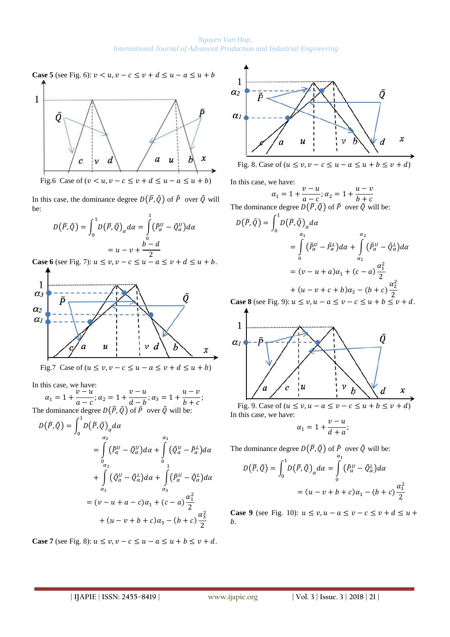

Fig.6 Case of  $(v < u, v - c \le v + d \le u - a \le u + b)$ 

In this case, the dominance degree  $D(\tilde{P}, \tilde{Q})$  of  $\tilde{P}$  over  $\tilde{Q}$  will be:

$$
D(\widetilde{P}, \widetilde{Q}) = \int_0^1 D(\widetilde{P}, \widetilde{Q})_\alpha d\alpha = \int_0^1 (\widetilde{P}_\alpha^U - \widetilde{Q}_\alpha^U) d\alpha
$$

$$
= u - v + \frac{b - d}{2}
$$

**Case 6** (see Fig. 7):  $u \le v, v - c \le u - a \le v + d \le u + b$ .



Fig.7 Case of  $(u \le v, v - c \le u - a \le v + d \le u + b)$ 

In this case, we have:

 $\alpha_1 = 1 + \frac{v}{v}$  $\frac{v-u}{a-c}$ ;  $\alpha_2 = 1 + \frac{v}{d}$  $\frac{v-u}{d-b}$ ;  $\alpha_3 = 1 + \frac{u}{b}$  $\frac{a}{b+c}$ ; The dominance degree  $D(\tilde{P}, \tilde{Q})$  of  $\tilde{P}$  over  $\tilde{Q}$  will be:  $\mathbf{1}$ 

$$
D(\widetilde{P}, \widetilde{Q}) = \int_{0}^{R} D(\widetilde{P}, \widetilde{Q})_{\alpha} d\alpha
$$
  
\n
$$
= \int_{0}^{\alpha_{2}} (\widetilde{P}_{\alpha}^{U} - \widetilde{Q}_{\alpha}^{U}) d\alpha + \int_{0}^{\alpha_{1}} (\widetilde{Q}_{\alpha}^{U} - \widetilde{P}_{\alpha}^{L}) d\alpha
$$
  
\n
$$
+ \int_{\alpha_{1}}^{\alpha_{2}} (\widetilde{Q}_{\alpha}^{U} - \widetilde{Q}_{\alpha}^{L}) d\alpha + \int_{\alpha_{3}}^{\alpha_{3}} (\widetilde{P}_{\alpha}^{U} - \widetilde{Q}_{\alpha}^{L}) d\alpha
$$
  
\n
$$
= (\upsilon - u + \alpha - c)\alpha_{1} + (c - \alpha) \frac{\alpha_{1}^{2}}{2}
$$
  
\n
$$
+ (u - \upsilon + b + c)\alpha_{3} - (b + c) \frac{\alpha_{3}^{2}}{2}
$$

**Case 7** (see Fig. 8):  $u \le v, v - c \le u - a \le u + b \le v + d$ .



In this case, we have:

 $\alpha_1 = 1 + \frac{v}{2}$  $\frac{v-u}{a-c}$ ;  $\alpha_2 = 1 + \frac{u}{b}$  $\boldsymbol{b}$ The dominance degree  $D(\tilde{P}, \tilde{Q})$  of  $\tilde{P}$  over  $\tilde{Q}$  will be:  $D(\widetilde{P}, \widetilde{Q}) = \int_{\Omega} D(\widetilde{P}, \widetilde{Q})_{\alpha} d\widetilde{Q}$  $\mathbf{1}$  $\boldsymbol{0}$  $= \int (\tilde{P}_{\alpha}^{U} - \tilde{P}_{\alpha}^{L})d$  $\alpha$  $\bf{0}$  $+$   $(\tilde{P}_{\alpha}^{U} - \tilde{Q}_{\alpha}^{L})d$  $\alpha$  $\alpha$  $=(v-u+a)\alpha_1 + (c-a)\frac{\alpha_1^2}{2}$  $\overline{c}$ +  $(u - v + c + b)\alpha_2$  –  $(b + c)\frac{\alpha_2^2}{2}$  $\overline{\mathbf{c}}$ 

**Case 8** (see Fig. 9):  $u \le v, u - a \le v - c \le u + b \le v + d$ .



Fig. 9. Case of  $(u \le v, u - a \le v - c \le u + b \le v + d)$ In this case, we have:

$$
\alpha_1 = 1 + \frac{v - u}{d + a};
$$

The dominance degree  $D(\tilde{P}, \tilde{Q})$  of  $\tilde{P}$  over  $\tilde{Q}$  will be:

$$
D(\tilde{P}, \tilde{Q}) = \int_0^1 D(\tilde{P}, \tilde{Q})_\alpha d\alpha = \int_0^{\alpha_1} (\tilde{P}_\alpha^U - \tilde{Q}_\alpha^L) d\alpha
$$

$$
= (u - v + b + c)\alpha_1 - (b + c)\frac{\alpha_1^2}{2}
$$

**Case 9** (see Fig. 10):  $u \le v, u - a \le v - c \le v + d \le u + c$  $h$ .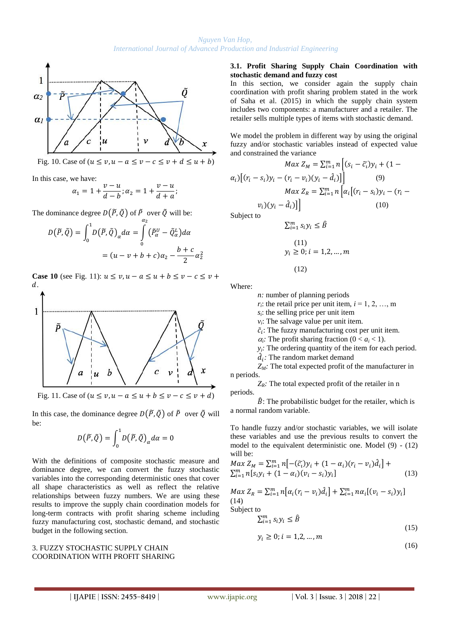

Fig. 10. Case of  $(u \le v, u - a \le v - c \le v + d \le u + b)$ 

In this case, we have:

$$
\alpha_1 = 1 + \frac{v - u}{d - b}; \alpha_2 = 1 + \frac{v - u}{d + a};
$$

The dominance degree  $D(\widetilde{P}, \widetilde{Q})$  of  $\widetilde{P}$  over  $\widetilde{Q}$  will be:

$$
D(\tilde{P}, \tilde{Q}) = \int_0^1 D(\tilde{P}, \tilde{Q})_\alpha d\alpha = \int_0^{\alpha_2} (\tilde{P}_\alpha^U - \tilde{Q}_\alpha^L) d\alpha
$$

$$
= (u - v + b + c)\alpha_2 - \frac{b + c}{2}\alpha_2^2
$$

**Case 10** (see Fig. 11):  $u \le v, u - a \le u + b \le v - c \le v +$  $d$ .



Fig. 11. Case of  $(u \le v, u - a \le u + b \le v - c \le v + d)$ 

In this case, the dominance degree  $D(\widetilde{P}, \widetilde{Q})$  of  $\widetilde{P}$  over  $\widetilde{Q}$  will be:

$$
D(\widetilde{P},\widetilde{Q})=\int_0^1 D(\widetilde{P},\widetilde{Q})_\alpha d\alpha=0
$$

With the definitions of composite stochastic measure and dominance degree, we can convert the fuzzy stochastic variables into the corresponding deterministic ones that cover all shape characteristics as well as reflect the relative relationships between fuzzy numbers. We are using these results to improve the supply chain coordination models for long-term contracts with profit sharing scheme including fuzzy manufacturing cost, stochastic demand, and stochastic budget in the following section.

#### 3. FUZZY STOCHASTIC SUPPLY CHAIN COORDINATION WITH PROFIT SHARING

#### **3.1. Profit Sharing Supply Chain Coordination with stochastic demand and fuzzy cost**

In this section, we consider again the supply chain coordination with profit sharing problem stated in the work of Saha et al. (2015) in which the supply chain system includes two components: a manufacturer and a retailer. The retailer sells multiple types of items with stochastic demand.

We model the problem in different way by using the original fuzzy and/or stochastic variables instead of expected value and constrained the variance

$$
Max Z_M = \sum_{i=1}^m n \left[ (s_i - \widetilde{c}_i) y_i + (1 - \alpha_i) \left[ (r_i - s_i) y_i - (r_i - v_i) (y_i - \hat{d}_i) \right] \right] \qquad (9)
$$

$$
Max Z_R = \sum_{i=1}^m n \left[ \alpha_i \left[ (r_i - s_i) y_i - (r_i - v_i) (y_i - \hat{d}_i) \right] \right] \qquad (10)
$$

Subject to

$$
\sum_{i=1}^{m} s_i y_i \le \hat{B}
$$
  
(11)  

$$
y_i \ge 0; i = 1, 2, ..., m
$$
  
(12)

Where:

*n:* number of planning periods

 $r_i$ : the retail price per unit item,  $i = 1, 2, ..., m$ 

 $s_i$ : the selling price per unit item

*vi* : The salvage value per unit item.

 $\tilde{c}_i$ : The fuzzy manufacturing cost per unit item.

 $\alpha_i$ : The profit sharing fraction ( $0 < a_i < 1$ ).

 $y_i$ *:* The ordering quantity of the item for each period.

 $\hat{d}_i$ : The random market demand

*ZM:* The total expected profit of the manufacturer in n periods.

 $Z_R$ *:* The total expected profit of the retailer in n periods.

 $\hat{B}$ : The probabilistic budget for the retailer, which is a normal random variable.

To handle fuzzy and/or stochastic variables, we will isolate these variables and use the previous results to convert the model to the equivalent deterministic one. Model (9) - (12) will be:

$$
Max Z_M = \sum_{i=1}^{m} n [-(\tilde{c}_i)y_i + (1 - \alpha_i)(r_i - v_i)d_i] +
$$
  
\n
$$
\sum_{i=1}^{m} n [s_i y_i + (1 - \alpha_i)(v_i - s_i)y_i]
$$
 (13)

$$
Max Z_R = \sum_{i=1}^{m} n [\alpha_i (r_i - v_i) \hat{d}_i] + \sum_{i=1}^{m} n \alpha_i [ (v_i - s_i) y_i ]
$$
\n(14)

Subject to

$$
\sum_{i=1}^{m} s_i y_i \le \hat{B}
$$
\n(15)

$$
y_i \geq 0; i = 1, 2, \dots, m
$$

(16)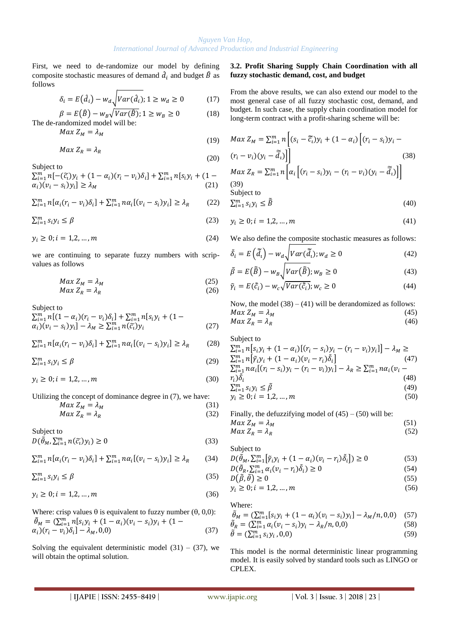(19)

First, we need to de-randomize our model by defining composite stochastic measures of demand  $d_i$  and budget  $\hat{B}$  as follows

$$
\delta_i = E(d_i) - w_d \sqrt{Var(d_i)}; 1 \ge w_d \ge 0 \tag{17}
$$

 $\beta = E(\hat{B}) - w_B \sqrt{Var(\hat{B})}$ ;  $1 \ge w_B \ge 0$  (18) The de-randomized model will be:

 $Max Z_M = \lambda_M$ 

$$
Max Z_R = \lambda_R
$$
 (20)

Subject to

 $\sum_{i=1}^{m} n[-(\tilde{c}_i)y_i + (1 - \alpha_i)(r_i - v_i)\delta_i] + \sum_{i=1}^{m} n[s_i]$  $\alpha_i$ ) $(v_i - s_i) y_i$ ]  $\ge \lambda_M$  (21)

$$
\sum_{i=1}^{m} n[\alpha_i (r_i - v_i)\delta_i] + \sum_{i=1}^{m} n\alpha_i [(\nu_i - s_i)y_i] \ge \lambda_R
$$
 (22)

$$
\sum_{i=1}^{m} s_i y_i \le \beta \tag{23}
$$

$$
y_i \ge 0; i = 1, 2, ..., m
$$
 (24)

we are continuing to separate fuzzy numbers with scripvalues as follows

$$
Max Z_M = \lambda_M
$$
\n
$$
Max Z_R = \lambda_R
$$
\n(25)\n(26)

Subject to

$$
\sum_{i=1}^{m} n[(1 - \alpha_i)(r_i - v_i)\delta_i] + \sum_{i=1}^{m} n[s_i y_i + (1 - \alpha_i)(v_i - s_i)y_i] - \lambda_M \ge \sum_{i=1}^{m} n(\tilde{c}_i)y_i
$$
\n(27)

$$
\sum_{i=1}^{m} n[\alpha_i(r_i - v_i)\delta_i] + \sum_{i=1}^{m} n\alpha_i[(v_i - s_i)y_i] \ge \lambda_R
$$
 (28)

 $\sum_{i=1}^{m} s_i y_i \le \beta$  (29)

 $v_i > 0; i = 1, 2, ..., m$  (30)

Utilizing the concept of dominance degree in (7), we have:

$$
Max Z_M = \lambda_M
$$
 (31)  
\n
$$
Max Z_R = \lambda_R
$$
 (32)

Subject to  $D(\widetilde{\theta}_M, \sum_{i=1}^m n(\widetilde{c_i})$ (33)

 $\sum_{i=1}^{m} n[\alpha_i(r_i - v_i)\delta_i] + \sum_{i=1}^{m} n\alpha_i[(v_i - s_i)y_i] \ge \lambda_R$  (34)

 $\sum_{i=1}^{m} s_i y_i \le \beta$  (35)

$$
y_i \ge 0; i = 1, 2, ..., m
$$
 (36)

Where: crisp values  $\theta$  is equivalent to fuzzy number ( $\theta$ , 0,0):  $\tilde{\theta}_M = (\sum_{i=1}^m n [s_i y_i + (1 - \alpha_i)(v_i - s_i))$  $\alpha_i$ ) $(r_i - v_i) \delta_i$ ] –  $\lambda_M$ , 0,0) (37)

Solving the equivalent deterministic model  $(31) - (37)$ , we will obtain the optimal solution.

#### **3.2. Profit Sharing Supply Chain Coordination with all fuzzy stochastic demand, cost, and budget**

From the above results, we can also extend our model to the most general case of all fuzzy stochastic cost, demand, and budget. In such case, the supply chain coordination model for long-term contract with a profit-sharing scheme will be:

$$
Max Z_M = \sum_{i=1}^m n \left[ (s_i - \tilde{c}_i) y_i + (1 - \alpha_i) \left[ (r_i - s_i) y_i - (r_i - v_i) (y_i - \tilde{d}_i) \right] \right]
$$
\n
$$
(38)
$$
\n
$$
Max Z_R = \sum_{i=1}^m n \left[ \alpha_i \left[ (r_i - s_i) y_i - (r_i - v_i) (y_i - \tilde{d}_i) \right] \right]
$$
\n
$$
(39)
$$
\n
$$
(39)
$$
\n
$$
Subject to
$$

$$
\sum_{i=1}^{m} s_i y_i \le \tilde{\bar{B}} \tag{40}
$$

 $y_i \geq 0; i = 1, 2, ..., m$  (41)

We also define the composite stochastic measures as follows:

$$
\tilde{\delta}_i = E\left(\tilde{\bar{d}}_i\right) - w_d \sqrt{Var(\tilde{\bar{d}}_i)}; w_d \ge 0
$$
\n<sup>(42)</sup>

$$
\tilde{\beta} = E(\tilde{\bar{B}}) - w_B \sqrt{Var(\tilde{\bar{B}})}; w_B \ge 0
$$
\n(43)

$$
\tilde{\gamma}_i = E(\tilde{\bar{c}}_i) - w_c \sqrt{Var(\tilde{\bar{c}}_i)}; w_c \ge 0
$$
\n(44)

Now, the model  $(38) - (41)$  will be derandomized as follows:  $Max Z_M = \lambda_M$  (45)  $Max Z_R = \lambda_R$  (46)

Subject to  $\sum_{i=1}^{m} n[s_i y_i + (1 - \alpha_i)[(r_i - s_i)y_i - (r_i - v_i)y_i]]$  $\sum_{i=1}^{m} n[\tilde{\gamma}_i y_i + (1 - \alpha_i)(v_i - r_i)\tilde{\delta}_i]$  (47)  $\sum_{i=1}^{m} n \alpha_i [(r_i - s_i)y_i - (r_i - v_i)y_i] - \lambda_R \ge \sum_{i=1}^{m} n$  $r_i) \tilde{\delta_i}$  (48)  $\sum_{i=1}^{m} s_i y_i \le \tilde{\beta}$  (49)  $y_i \ge 0; i = 1, 2, ..., m$  (50)

Finally, the defuzzifying model of  $(45) - (50)$  will be:  $Max Z_M = \lambda_M$  (51)  $Max Z_R = \lambda_R$  (52)

Subject to

 $D(\tilde{\theta}_M, \sum_{i=1}^m [\tilde{\gamma}_i y_i + (1 - \alpha_i)(v_i - r_i)\tilde{\delta}_i]) \ge 0$  (53)  $D(\tilde{\theta}_R, \sum_{i=1}^m \alpha_i (v_i - r_i) \tilde{\delta}_i) \ge 0$  (54)

$$
D(\tilde{\beta}, \tilde{\theta}) \ge 0 \tag{55}
$$

$$
y_i \ge 0; i = 1, 2, ..., m
$$
 (56)

Where:

$$
\tilde{\theta}_M = (\sum_{i=1}^m [s_i y_i + (1 - \alpha_i)(v_i - s_i)y_i] - \lambda_M/n, 0, 0)
$$
 (57)  
\n
$$
\tilde{\theta}_M = (\sum_{i=1}^m \alpha_i (y_i - s_i)y_i - \lambda_n/n, 0, 0)
$$
 (58)

$$
\tilde{\theta}_R = \left(\sum_{i=1}^m \alpha_i (v_i - s_i) y_i - \lambda_R / n, 0, 0\right)
$$
\n
$$
\tilde{\theta} = \left(\sum_{i=1}^m \alpha_i (v_i - s_i) y_i - \lambda_R / n, 0, 0\right)
$$
\n(58)

$$
\tilde{\theta} = (\sum_{i=1}^{m} s_i y_i, 0, 0) \tag{59}
$$

This model is the normal deterministic linear programming model. It is easily solved by standard tools such as LINGO or CPLEX.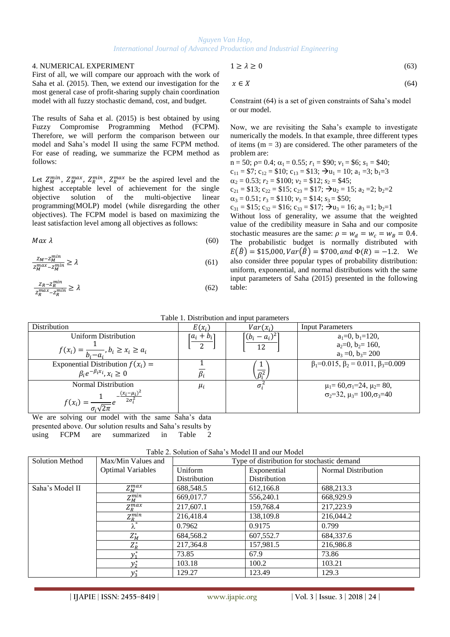#### 4. NUMERICAL EXPERIMENT

First of all, we will compare our approach with the work of Saha et al. (2015). Then, we extend our investigation for the most general case of profit-sharing supply chain coordination model with all fuzzy stochastic demand, cost, and budget.

The results of Saha et al. (2015) is best obtained by using Fuzzy Compromise Programming Method (FCPM). Therefore, we will perform the comparison between our model and Saha's model II using the same FCPM method. For ease of reading, we summarize the FCPM method as follows:

Let  $Z_M^{min}$ ,  $Z_M^{max}$ ,  $Z_R^{min}$ ,  $Z_R^{max}$  be the aspired level and the highest acceptable level of achievement for the single objective solution of the multi-objective linear programming(MOLP) model (while disregarding the other objectives). The FCPM model is based on maximizing the least satisfaction level among all objectives as follows:

$$
Max \lambda \tag{60}
$$

$$
\frac{Z_M - Z_M^{min}}{Z_M^{max} - Z_M^{min}} \ge \lambda \tag{61}
$$

$$
\frac{z_R - z_R^{min}}{z_R^{max} - z_R^{min}} \ge \lambda \tag{62}
$$

$$
1 \ge \lambda \ge 0 \tag{63}
$$

$$
x \in X \tag{64}
$$

Constraint (64) is a set of given constraints of Saha's model or our model.

Now, we are revisiting the Saha's example to investigate numerically the models. In that example, three different types of items  $(m = 3)$  are considered. The other parameters of the problem are:

 $n = 50$ ;  $p = 0.4$ ;  $\alpha_1 = 0.55$ ;  $r_1 = $90$ ;  $v_1 = $6$ ;  $s_1 = $40$ ;  $c_{11} = $7$ ;  $c_{12} = $10$ ;  $c_{13} = $13$ ;  $\rightarrow u_1 = 10$ ;  $a_1 = 3$ ;  $b_1 = 3$  $\alpha_2 = 0.53$ ;  $r_2 = $100$ ;  $v_2 = $12$ ;  $s_2 = $45$ ;  $c_{21} = $13$ ;  $c_{22} = $15$ ;  $c_{23} = $17$ ;  $\rightarrow u_2 = 15$ ;  $a_2 = 2$ ;  $b_2 = 2$  $\alpha_3 = 0.51$ ;  $r_3 = $110$ ;  $v_3 = $14$ ;  $s_3 = $50$ ;  $c_{31} = $15$ ;  $c_{32} = $16$ ;  $c_{33} = $17$ ;  $\rightarrow u_3 = 16$ ;  $a_3 = 1$ ;  $b_2 = 1$ Without loss of generality, we assume that the weighted value of the credibility measure in Saha and our composite

stochastic measures are the same:  $\rho = w_d = w_c = w_B = 0.4$ . The probabilistic budget is normally distributed with  $E(\hat{B}) = $15,000, Var(\hat{B}) = $700, and \Phi(R) = -1.2$ . We also consider three popular types of probability distribution: uniform, exponential, and normal distributions with the same input parameters of Saha (2015) presented in the following table:

| <b>Distribution</b>                                 | $E(x_i)$      | $Var(x_i)$                | <b>Input Parameters</b>                                   |
|-----------------------------------------------------|---------------|---------------------------|-----------------------------------------------------------|
| Uniform Distribution                                | $[a_i + b_i]$ | $\frac{(b_i - a_i)^2}{2}$ | $a_1=0, b_1=120,$                                         |
|                                                     | っ             | 12                        | $a_2=0, b_2=160,$                                         |
| $f(x_i) = \frac{1}{b_i - a_i}, b_i \ge x_i \ge a_i$ |               |                           | $a_3 = 0$ , $b_3 = 200$                                   |
| Exponential Distribution $f(x_i)$ =                 |               |                           | $\beta_1 = 0.015$ , $\beta_2 = 0.011$ , $\beta_3 = 0.009$ |
| $\beta_i e^{-\beta_i x_i}, x_i \geq 0$              |               | $\overline{\beta_i^2}$    |                                                           |
| Normal Distribution                                 | $\mu_i$       | $\sigma_i^2$              | $\mu_1 = 60, \sigma_1 = 24, \mu_2 = 80,$                  |
| $(x_i - \mu_i)^2$                                   |               |                           | $\sigma_2 = 32$ , $\mu_3 = 100$ , $\sigma_3 = 40$         |
| $2\sigma_i^2$<br>$f(x_i)$                           |               |                           |                                                           |
|                                                     |               |                           |                                                           |

We are solving our model with the same Saha's data presented above. Our solution results and Saha's results by using FCPM are summarized in Table 2

|  |  | Table 2. Solution of Saha's Model II and our Model |  |
|--|--|----------------------------------------------------|--|
|  |  |                                                    |  |

| <b>Solution Method</b> | Max/Min Values and       | Type of distribution for stochastic demand |              |                            |  |
|------------------------|--------------------------|--------------------------------------------|--------------|----------------------------|--|
|                        | <b>Optimal Variables</b> | Uniform                                    | Exponential  | <b>Normal Distribution</b> |  |
|                        |                          | Distribution                               | Distribution |                            |  |
| Saha's Model II        | $Z_M^{max}$              | 688,548.5                                  | 612,166.8    | 688,213.3                  |  |
|                        | $Z_M^{min}$              | 669,017.7                                  | 556,240.1    | 668,929.9                  |  |
|                        | $Z_{R}^{max}$            | 217,607.1                                  | 159,768.4    | 217,223.9                  |  |
|                        | $Z_R^{min}$              | 216,418.4                                  | 138,109.8    | 216,044.2                  |  |
|                        | $\overline{\lambda^*}$   | 0.7962                                     | 0.9175       | 0.799                      |  |
|                        | $Z_M^*$                  | 684,568.2                                  | 607,552.7    | 684,337.6                  |  |
|                        | $Z_R^*$                  | 217,364.8                                  | 157,981.5    | 216,986.8                  |  |
|                        | $y_1^*$                  | 73.85                                      | 67.9         | 73.86                      |  |
|                        | $y_2^*$                  | 103.18                                     | 100.2        | 103.21                     |  |
|                        | $y_3^*$                  | 129.27                                     | 123.49       | 129.3                      |  |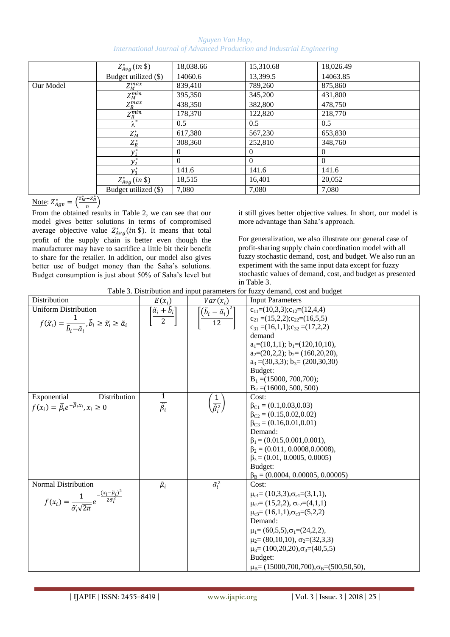*Nguyen Van Hop, International Journal of Advanced Production and Industrial Engineering*

|           | $Z_{Avg}^*(in \$       | 18,038.66 | 15,310.68 | 18,026.49      |
|-----------|------------------------|-----------|-----------|----------------|
|           | Budget utilized (\$)   | 14060.6   | 13,399.5  | 14063.85       |
| Our Model | $Z_M^{max}$            | 839,410   | 789,260   | 875,860        |
|           | $\overline{Z_M^{min}}$ | 395,350   | 345,200   | 431,800        |
|           | $Z_R^{max}$            | 438,350   | 382,800   | 478,750        |
|           | $\overline{Z_R^{min}}$ | 178,370   | 122,820   | 218,770        |
|           | $\lambda^*$            | 0.5       | 0.5       | 0.5            |
|           | $Z_M^*$                | 617,380   | 567,230   | 653,830        |
|           | $Z_R^*$                | 308,360   | 252,810   | 348,760        |
|           | $y_1^*$                | $\theta$  | $\theta$  | $\overline{0}$ |
|           | $y_2^*$                | $\Omega$  | $\theta$  | $\Omega$       |
|           | $v_{2}^{*}$            | 141.6     | 141.6     | 141.6          |
|           | $Z_{Avg}^*(in \$       | 18,515    | 16,401    | 20,052         |
|           | Budget utilized (\$)   | 7,080     | 7.080     | 7,080          |

Note:  $Z_{Aav}^{*} = \left(\frac{Z_{M}^{*} + Z_{R}^{*}}{R}\right)$  $\frac{1}{n}$ 

From the obtained results in Table 2, we can see that our model gives better solutions in terms of compromised average objective value  $Z_{Avq}^*(in \$ ). It means that total profit of the supply chain is better even though the manufacturer may have to sacrifice a little bit their benefit to share for the retailer. In addition, our model also gives better use of budget money than the Saha's solutions. Budget consumption is just about 50% of Saha's level but

it still gives better objective values. In short, our model is more advantage than Saha's approach.

For generalization, we also illustrate our general case of profit-sharing supply chain coordination model with all fuzzy stochastic demand, cost, and budget. We also run an experiment with the same input data except for fuzzy stochastic values of demand, cost, and budget as presented in Table 3.



| Distribution                                                                                                                                                 | $E(x_i)$                                           | $Var(x_i)$                                            | <b>Input Parameters</b>                                                                                                                                                                                                                                                                                                                                                             |
|--------------------------------------------------------------------------------------------------------------------------------------------------------------|----------------------------------------------------|-------------------------------------------------------|-------------------------------------------------------------------------------------------------------------------------------------------------------------------------------------------------------------------------------------------------------------------------------------------------------------------------------------------------------------------------------------|
| <b>Uniform Distribution</b><br>$f(\widetilde{x_i}) = \frac{1}{\widetilde{b_i} - \widetilde{a_i}}, \widetilde{b}_i \geq \widetilde{x_i} \geq \widetilde{a}_i$ | $\left[\frac{\tilde{a}_i + \tilde{b}_i}{2}\right]$ | $\left[\frac{(\tilde{b}_i-\tilde{a}_i)^2}{12}\right]$ | $c_{11}=(10,3,3); c_{12}=(12,4,4)$<br>$c_{21} = (15,2,2); c_{22} = (16,5,5)$<br>$c_{31} = (16,1,1); c_{32} = (17,2,2)$<br>demand<br>$a_1=(10,1,1); b_1=(120,10,10),$<br>$a_2=(20,2,2); b_2=(160,20,20),$<br>$a_3 = (30,3,3); b_3 = (200,30,30)$<br>Budget:<br>$B_1 = (15000, 700, 700);$<br>$B_2 = (16000, 500, 500)$                                                               |
| Exponential<br>Distribution<br>$f(x_i) = \widetilde{\beta}_i e^{-\widetilde{\beta}_i x_i}, x_i \geq 0$                                                       | $\frac{1}{\tilde{\beta}_i}$                        | $\frac{1}{\tilde{\beta}_i^2}$                         | Cost:<br>$\beta_{C1} = (0.1, 0.03, 0.03)$<br>$\beta_{C2} = (0.15, 0.02, 0.02)$<br>$\beta_{C3} = (0.16, 0.01, 0.01)$<br>Demand:<br>$\beta_1 = (0.015, 0.001, 0.001),$<br>$\beta_2 = (0.011, 0.0008, 0.0008),$<br>$\beta_3$ = (0.01, 0.0005, 0.0005)<br>Budget:<br>$\beta_B = (0.0004, 0.00005, 0.00005)$                                                                             |
| <b>Normal Distribution</b><br>$f(x_i) = \frac{1}{\tilde{\sigma}_i \sqrt{2\pi}} e^{-\frac{(x_i - \tilde{\mu}_i)}{2\tilde{\sigma}_i^2}}$                       | $\tilde{\mu}_i$                                    | $\tilde{\sigma}_i^2$                                  | Cost:<br>$\mu_{c1} = (10,3,3), \sigma_{c1} = (3,1,1),$<br>$\mu_{c2} = (15,2,2), \sigma_{c2} = (4,1,1)$<br>$\mu_{c3} = (16,1,1), \sigma_{c3} = (5,2,2)$<br>Demand:<br>$\mu_1 = (60, 5, 5), \sigma_1 = (24, 2, 2),$<br>$\mu_2 = (80,10,10), \sigma_2 = (32,3,3)$<br>$\mu_3 = (100, 20, 20), \sigma_3 = (40, 5, 5)$<br>Budget:<br>$\mu_B$ = (15000,700,700), $\sigma_B$ = (500,50,50), |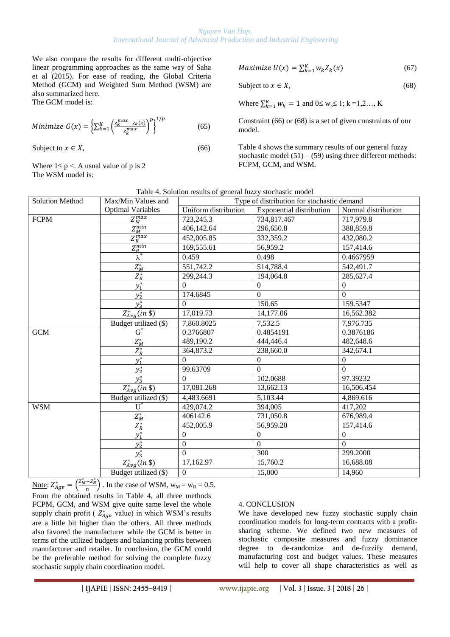We also compare the results for different multi-objective linear programming approaches as the same way of Saha et al (2015). For ease of reading, the Global Criteria Method (GCM) and Weighted Sum Method (WSM) are also summarized here. The GCM model is:

Minimize 
$$
G(x) = \left\{ \sum_{k=1}^{K} \left( \frac{z_k^{max} - z_k(x)}{z_k^{max}} \right)^p \right\}^{1/p}
$$
(65)

Subject to  $x \in X$ , (66)

Where  $1 \le p <$ . A usual value of p is 2 The WSM model is:

$$
Maximize U(x) = \sum_{k=1}^{K} w_k Z_k(x)
$$
 (67)

Subject to  $x \in X$ , (68)

Where  $\sum_{k=1}^{K} w_k = 1$  and  $0 \le w_k \le 1$ ; k =1,2..., K

Constraint (66) or (68) is a set of given constraints of our model.

Table 4 shows the summary results of our general fuzzy stochastic model  $(51) - (59)$  using three different methods: FCPM, GCM, and WSM.

| Table 4. Solution results of general fuzzy stochastic model |                          |                                            |                                 |                     |  |
|-------------------------------------------------------------|--------------------------|--------------------------------------------|---------------------------------|---------------------|--|
| <b>Solution Method</b>                                      | Max/Min Values and       | Type of distribution for stochastic demand |                                 |                     |  |
|                                                             | <b>Optimal Variables</b> | Uniform distribution                       | <b>Exponential distribution</b> | Normal distribution |  |
| <b>FCPM</b>                                                 | $Z_M^{max}$              | 723,245.3                                  | 734,817.467                     | 717,979.8           |  |
|                                                             | $Z_M^{min}$              | 406,142.64                                 | 296,650.8                       | 388,859.8           |  |
|                                                             | $Z_R^{max}$              | 452,005.85                                 | 332,359.2                       | 432,080.2           |  |
|                                                             | $Z_R^{min}$              | 169,555.61                                 | 56,959.2                        | 157,414.6           |  |
|                                                             | $\lambda^*$              | 0.459                                      | 0.498                           | 0.4667959           |  |
|                                                             | $Z_M^*$                  | 551,742.2                                  | 514,788.4                       | 542,491.7           |  |
|                                                             | $Z_R^*$                  | 299,244.3                                  | 194,064.8                       | 285,627.4           |  |
|                                                             | $y_1^*$                  | $\Omega$                                   | $\mathbf{0}$                    | $\mathbf{0}$        |  |
|                                                             | $y_2^*$                  | 174.6845                                   | $\mathbf{0}$                    | $\Omega$            |  |
|                                                             | $y_3^*$                  | $\Omega$                                   | 150.65                          | 159.5347            |  |
|                                                             | $Z_{Avg}^*(in \ \$       | 17,019.73                                  | 14,177.06                       | 16,562.382          |  |
|                                                             | Budget utilized (\$)     | 7,860.8025                                 | 7,532.5                         | 7,976.735           |  |
| <b>GCM</b>                                                  | $G^*$                    | 0.3766807                                  | 0.4854191                       | 0.3876186           |  |
|                                                             | $Z_M^*$                  | 489,190.2                                  | 444,446.4                       | 482,648.6           |  |
|                                                             | $Z_R^*$                  | 364,873.2                                  | 238,660.0                       | 342,674.1           |  |
|                                                             | $y_1^*$                  | $\Omega$                                   | $\boldsymbol{0}$                | $\overline{0}$      |  |
|                                                             | $y_2^*$                  | 99.63709                                   | $\overline{0}$                  | $\overline{0}$      |  |
|                                                             | $y_3^*$                  | $\Omega$                                   | 102.0688                        | 97.39232            |  |
|                                                             | $Z_{Avg}^*(in \$         | 17,081.268                                 | 13,662.13                       | 16,506.454          |  |
|                                                             | Budget utilized (\$)     | 4,483.6691                                 | 5,103.44                        | 4,869.616           |  |
| <b>WSM</b>                                                  | $\mathrm{U}^*$           | 429,074.2                                  | 394,005                         | 417,202             |  |
|                                                             | $Z_M^*$                  | 406142.6                                   | 731,050.8                       | 676,989.4           |  |
|                                                             | $Z_R^*$                  | 452,005.9                                  | 56,959.20                       | 157,414.6           |  |
|                                                             | $y_1^*$                  | $\Omega$                                   | $\theta$                        | $\Omega$            |  |
|                                                             | $y_2^*$                  | $\mathbf{0}$                               | $\boldsymbol{0}$                | $\overline{0}$      |  |
|                                                             | $y_3^*$                  | $\Omega$                                   | 300                             | 299.2000            |  |
|                                                             | $Z^*_{Avg}(in \$         | 17,162.97                                  | 15,760.2                        | 16,688.08           |  |
|                                                             | Budget utilized (\$)     | $\overline{0}$                             | 15,000                          | 14,960              |  |

Note:  $Z_{Aav}^{*} = \left(\frac{Z_{M}^{*} + Z_{R}^{*}}{n}\right)$  $\left(\frac{F_{2R}}{n}\right)$ . In the case of WSM,  $w_M = w_R = 0.5$ . From the obtained results in Table 4, all three methods FCPM, GCM, and WSM give quite same level the whole supply chain profit ( $Z_{Aap}^*$  value) in which WSM's results are a little bit higher than the others. All three methods also favored the manufacturer while the GCM is better in terms of the utilized budgets and balancing profits between manufacturer and retailer. In conclusion, the GCM could be the preferable method for solving the complete fuzzy stochastic supply chain coordination model.

## 4. CONCLUSION

We have developed new fuzzy stochastic supply chain coordination models for long-term contracts with a profitsharing scheme. We defined two new measures of stochastic composite measures and fuzzy dominance degree to de-randomize and de-fuzzify demand, manufacturing cost and budget values. These measures will help to cover all shape characteristics as well as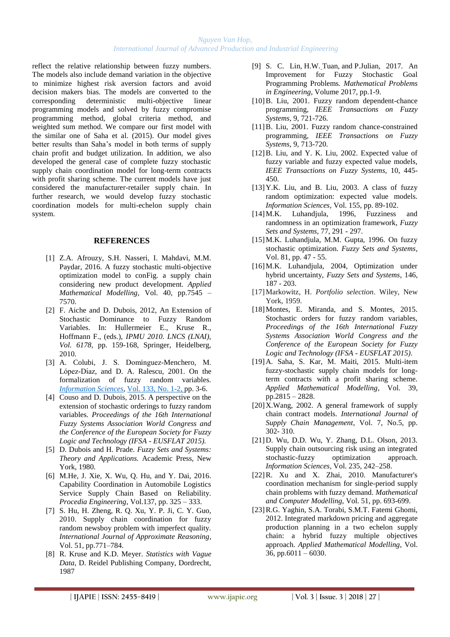reflect the relative relationship between fuzzy numbers. The models also include demand variation in the objective to minimize highest risk aversion factors and avoid decision makers bias. The models are converted to the corresponding deterministic multi-objective linear programming models and solved by fuzzy compromise programming method, global criteria method, and weighted sum method. We compare our first model with the similar one of Saha et al. (2015). Our model gives better results than Saha's model in both terms of supply chain profit and budget utilization. In addition, we also developed the general case of complete fuzzy stochastic supply chain coordination model for long-term contracts with profit sharing scheme. The current models have just considered the manufacturer-retailer supply chain. In further research, we would develop fuzzy stochastic coordination models for multi-echelon supply chain system.

#### **REFERENCES**

- [1] Z.A. Afrouzy, S.H. Nasseri, I. Mahdavi, M.M. Paydar, 2016. A fuzzy stochastic multi-objective optimization model to conFig. a supply chain considering new product development. *Applied Mathematical Modelling*, Vol. 40, pp.7545 – 7570.
- [2] F. Aiche and D. Dubois, 2012, An Extension of Stochastic Dominance to Fuzzy Random Variables. In: Hullermeier E., Kruse R., Hoffmann F., (eds.), *IPMU 2010. LNCS (LNAI), Vol. 6178,* pp. 159-168, Springer, Heidelberg, 2010.
- [3] A. [Colubi,](http://www.sciencedirect.com/science/article/pii/S0020025501000731#!) J. S. Dominguez-Menchero, M. López-Díaz, and [D. A. Ralescu,](http://www.sciencedirect.com/science/article/pii/S0020025501000731#!) 2001. On the formalization of fuzzy random variables. *[Information Sciences](http://www.sciencedirect.com/science/journal/00200255)*, [Vol. 133, No. 1-2, p](http://www.sciencedirect.com/science/journal/00200255/133/1)p. 3-6.
- [4] Couso and D. Dubois, 2015. A perspective on the extension of stochastic orderings to fuzzy random variables. *Proceedings of the 16th International Fuzzy Systems Association World Congress and the Conference of the European Society for Fuzzy Logic and Technology (IFSA - EUSFLAT 2015).*
- [5] D. Dubois and H. Prade. *Fuzzy Sets and Systems: Theory and Applications.* Academic Press, New York, 1980.
- [6] M.He, J. Xie, X. Wu, Q. Hu, and Y. Dai, 2016. Capability Coordination in Automobile Logistics Service Supply Chain Based on Reliability. *Procedia Engineering*, Vol.137, pp. 325 – 333.
- [7] S. Hu, H. Zheng, R. Q. Xu, Y. P. Ji, C. Y. Guo, 2010. Supply chain coordination for fuzzy random newsboy problem with imperfect quality. *International Journal of Approximate Reasoning*, Vol. 51, pp.771–784.
- [8] R. Kruse and K.D. Meyer. *Statistics with Vague Data*, D. Reidel Publishing Company, Dordrecht, 1987
- [9] S. C. [Lin,](https://www.hindawi.com/36827428/) H.W. [Tuan,](https://www.hindawi.com/87850579/) and [P.Julian,](https://www.hindawi.com/83724979/) 2017. An Improvement for Fuzzy Stochastic Goal Programming Problems*. Mathematical Problems in Engineering*, Volume 2017, pp.1-9.
- [10]B. Liu, 2001. Fuzzy random dependent-chance programming, *IEEE Transactions on Fuzzy Systems,* 9, 721-726.
- [11]B. Liu, 2001. Fuzzy random chance-constrained programming, *IEEE Transactions on Fuzzy Systems,* 9, 713-720.
- [12]B. Liu, and Y. K. Liu, 2002. Expected value of fuzzy variable and fuzzy expected value models, *IEEE Transactions on Fuzzy Systems,* 10, 445- 450.
- $[13]Y.K.$  Liu, and B. Liu, 2003. A class of fuzzy random optimization: expected value models. *Information Sciences,* Vol. 155, pp. 89-102.
- [14]M.K. Luhandjula, 1996, Fuzziness and randomness in an optimization framework, *Fuzzy Sets and Systems*, 77, 291 - 297.
- [15]M.K. Luhandjula, M.M. Gupta, 1996. On fuzzy stochastic optimization. *Fuzzy Sets and Systems*, Vol. 81, pp. 47 - 55.
- [16]M.K. Luhandjula, 2004, Optimization under hybrid uncertainty, *Fuzzy Sets and Systems*, 146, 187 - 203.
- [17]Markowitz, H. *Portfolio selection*. Wiley, New York, 1959.
- [18]Montes, E. Miranda, and S. Montes, 2015. Stochastic orders for fuzzy random variables, *Proceedings of the 16th International Fuzzy Systems Association World Congress and the Conference of the European Society for Fuzzy Logic and Technology (IFSA - EUSFLAT 2015)*.
- [19]A. Saha, S. Kar, M. Maiti, 2015. Multi-item fuzzy-stochastic supply chain models for longterm contracts with a profit sharing scheme. *Applied Mathematical Modelling*, Vol. 39, pp.2815 – 2828.
- [20]X.Wang, 2002. A general framework of supply chain contract models*. International Journal of Supply Chain Management*, Vol. 7, No.5, pp. 302- 310.
- [21]D. Wu, D.D. Wu, Y. Zhang, D.L. Olson, 2013. Supply chain outsourcing risk using an integrated stochastic-fuzzy optimization approach. *Information Sciences*, Vol. 235, 242–258.
- [22]R. Xu and X. Zhai, 2010. Manufacturer's coordination mechanism for single-period supply chain problems with fuzzy demand. *Mathematical and Computer Modelling,* Vol. 51, pp. 693-699.
- [23]R.G. Yaghin, S.A. Torabi, S.M.T. Fatemi Ghomi, 2012. Integrated markdown pricing and aggregate production planning in a two echelon supply chain: a hybrid fuzzy multiple objectives approach. *Applied Mathematical Modelling*, Vol. 36, pp.6011 – 6030.